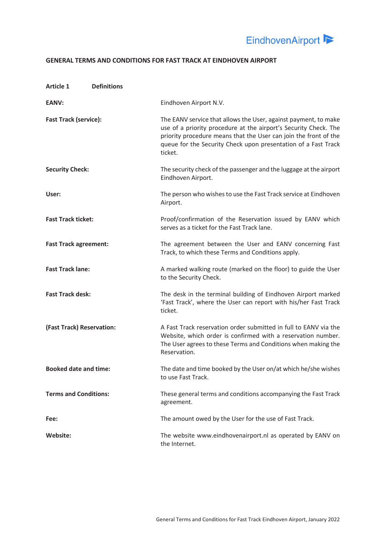

# **GENERAL TERMS AND CONDITIONS FOR FAST TRACK AT EINDHOVEN AIRPORT**

| <b>Article 1</b><br><b>Definitions</b> |                                                                                                                                                                                                                                                                                      |
|----------------------------------------|--------------------------------------------------------------------------------------------------------------------------------------------------------------------------------------------------------------------------------------------------------------------------------------|
| EANV:                                  | Eindhoven Airport N.V.                                                                                                                                                                                                                                                               |
| <b>Fast Track (service):</b>           | The EANV service that allows the User, against payment, to make<br>use of a priority procedure at the airport's Security Check. The<br>priority procedure means that the User can join the front of the<br>queue for the Security Check upon presentation of a Fast Track<br>ticket. |
| <b>Security Check:</b>                 | The security check of the passenger and the luggage at the airport<br>Eindhoven Airport.                                                                                                                                                                                             |
| User:                                  | The person who wishes to use the Fast Track service at Eindhoven<br>Airport.                                                                                                                                                                                                         |
| <b>Fast Track ticket:</b>              | Proof/confirmation of the Reservation issued by EANV which<br>serves as a ticket for the Fast Track lane.                                                                                                                                                                            |
| <b>Fast Track agreement:</b>           | The agreement between the User and EANV concerning Fast<br>Track, to which these Terms and Conditions apply.                                                                                                                                                                         |
| <b>Fast Track lane:</b>                | A marked walking route (marked on the floor) to guide the User<br>to the Security Check.                                                                                                                                                                                             |
| <b>Fast Track desk:</b>                | The desk in the terminal building of Eindhoven Airport marked<br>'Fast Track', where the User can report with his/her Fast Track<br>ticket.                                                                                                                                          |
| (Fast Track) Reservation:              | A Fast Track reservation order submitted in full to EANV via the<br>Website, which order is confirmed with a reservation number.<br>The User agrees to these Terms and Conditions when making the<br>Reservation.                                                                    |
| <b>Booked date and time:</b>           | The date and time booked by the User on/at which he/she wishes<br>to use Fast Track.                                                                                                                                                                                                 |
| <b>Terms and Conditions:</b>           | These general terms and conditions accompanying the Fast Track<br>agreement.                                                                                                                                                                                                         |
| Fee:                                   | The amount owed by the User for the use of Fast Track.                                                                                                                                                                                                                               |
| Website:                               | The website www.eindhovenairport.nl as operated by EANV on<br>the Internet.                                                                                                                                                                                                          |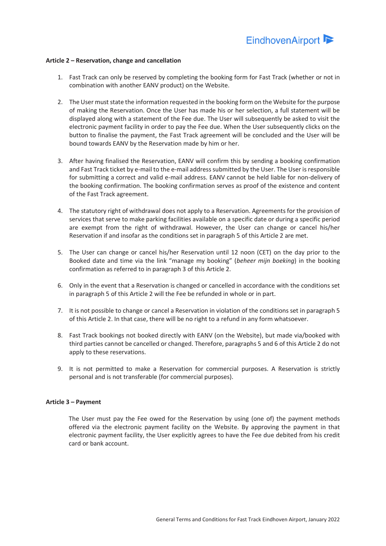#### **Article 2 – Reservation, change and cancellation**

- 1. Fast Track can only be reserved by completing the booking form for Fast Track (whether or not in combination with another EANV product) on the Website.
- 2. The User must state the information requested in the booking form on the Website for the purpose of making the Reservation. Once the User has made his or her selection, a full statement will be displayed along with a statement of the Fee due. The User will subsequently be asked to visit the electronic payment facility in order to pay the Fee due. When the User subsequently clicks on the button to finalise the payment, the Fast Track agreement will be concluded and the User will be bound towards EANV by the Reservation made by him or her.
- 3. After having finalised the Reservation, EANV will confirm this by sending a booking confirmation and Fast Track ticket by e-mail to the e-mail address submitted by the User. The User is responsible for submitting a correct and valid e-mail address. EANV cannot be held liable for non-delivery of the booking confirmation. The booking confirmation serves as proof of the existence and content of the Fast Track agreement.
- 4. The statutory right of withdrawal does not apply to a Reservation. Agreements for the provision of services that serve to make parking facilities available on a specific date or during a specific period are exempt from the right of withdrawal. However, the User can change or cancel his/her Reservation if and insofar as the conditions set in paragraph 5 of this Article 2 are met.
- 5. The User can change or cancel his/her Reservation until 12 noon (CET) on the day prior to the Booked date and time via the link "manage my booking" (*beheer mijn boeking*) in the booking confirmation as referred to in paragraph 3 of this Article 2.
- 6. Only in the event that a Reservation is changed or cancelled in accordance with the conditions set in paragraph 5 of this Article 2 will the Fee be refunded in whole or in part.
- 7. It is not possible to change or cancel a Reservation in violation of the conditions set in paragraph 5 of this Article 2. In that case, there will be no right to a refund in any form whatsoever.
- 8. Fast Track bookings not booked directly with EANV (on the Website), but made via/booked with third parties cannot be cancelled or changed. Therefore, paragraphs 5 and 6 of this Article 2 do not apply to these reservations.
- 9. It is not permitted to make a Reservation for commercial purposes. A Reservation is strictly personal and is not transferable (for commercial purposes).

#### **Article 3 – Payment**

The User must pay the Fee owed for the Reservation by using (one of) the payment methods offered via the electronic payment facility on the Website. By approving the payment in that electronic payment facility, the User explicitly agrees to have the Fee due debited from his credit card or bank account.